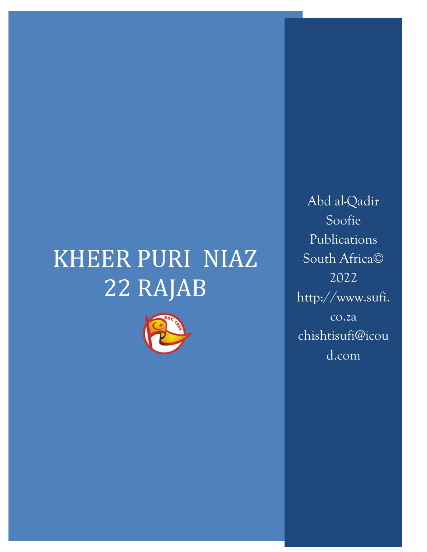# KHEER PURI NIAZ 22 RAJAB



Abd al-Qadir Soofie Publications South Africa© 2022 http://www.sufi. co.za chishtisufi@icou d.com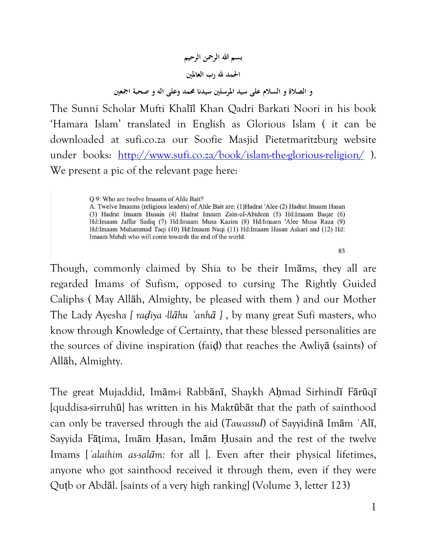# **بسم هللا الرمحن الرحيم احلمد هلل رب العاملني و الصالة و السالم على سيد املرسلني سيدنا حممد وعلى اله و صحبة امجعني**

The Sunni Scholar Mufti Khalīl Khan Qadri Barkati Noori in his book "Hamara Islam" translated in English as Glorious Islam ( it can be downloaded at sufi.co.za our Soofie Masjid Pietetmaritzburg website under books: <http://www.sufi.co.za/book/islam-the-glorious-religion/>). We present a pic of the relevant page here:

O 9: Who are twelve Imaams of Ahle Bait?

A. Twelve Imaams (religious leaders) of Ahle Bait are: (1) Hadrat 'Alee (2) Hadrat Imaam Hasan (3) Hadrat Imaam Husain (4) Hadrat Imaam Zain-ul-Abideen (5) Hd: Imaam Baqar (6) Hd:Imaam Jaffar Sadiq (7) Hd:Imaam Musa Kazim (8) Hd:Imaam 'Alee Musa Raza (9) Hd:Imaam Muhammad Taqi (10) Hd:Imaam Naqi (11) Hd:Imaam Hasan Askari and (12) Hd: Imaam Mehdi who will come towards the end of the world.

83

Though, commonly claimed by Shia to be their Imāms, they all are regarded Imams of Sufism, opposed to cursing The Rightly Guided Caliphs ( May Allāh, Almighty, be pleased with them ) and our Mother The Lady Ayesha *[ raḍiya -llāhu ʿanhā ]* , by many great Sufi masters, who know through Knowledge of Certainty, that these blessed personalities are the sources of divine inspiration (faiḍ) that reaches the Awliyā (saints) of Allāh, Almighty.

The great Mujaddid, Imām-i Rabbānī, Shaykh Ahmad Sirhindī Fārūqī [quddisa-sirruhū] has written in his Maktūbāt that the path of sainthood can only be traversed through the aid (*Tawassul*) of Sayyidinā Imām ʿAlī, Sayyida Fāṭima, Imām Ḥasan, Imām Ḥusain and the rest of the twelve Imams [*ʿalaihim as-salām:* for all ]. Even after their physical lifetimes, anyone who got sainthood received it through them, even if they were Quṭb or Abdāl. [saints of a very high ranking] (Volume 3, letter 123)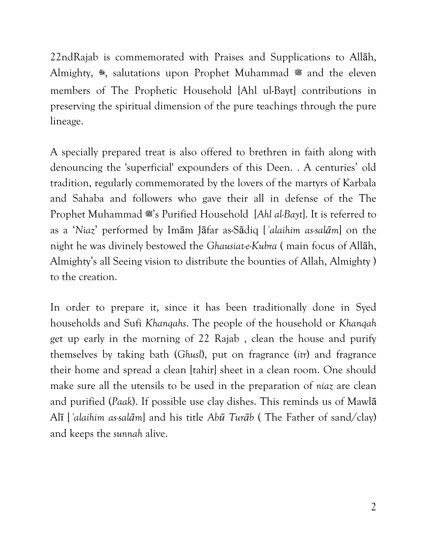22ndRajab is commemorated with Praises and Supplications to Allāh, Almighty, **\***, salutations upon Prophet Muhammad **#** and the eleven members of The Prophetic Household [Ahl ul-Bayt] contributions in preserving the spiritual dimension of the pure teachings through the pure lineage.

A specially prepared treat is also offered to brethren in faith along with denouncing the 'superficial' expounders of this Deen. . A centuries" old tradition, regularly commemorated by the lovers of the martyrs of Karbala and Sahaba and followers who gave their all in defense of the The Prophet Muhammad  $\mathcal{L}$ 's Purified Household [*Ahl al-Bayt*]. It is referred to as a "*Niaz*" performed by Imām Jāfar as-Sādiq [*ʿalaihim as-salām*] on the night he was divinely bestowed the *Ghausiat-e-Kubra* ( main focus of Allāh, Almighty"s all Seeing vision to distribute the bounties of Allah, Almighty ) to the creation.

In order to prepare it, since it has been traditionally done in Syed households and Sufi *Khanqahs*. The people of the household or *Khanqah* get up early in the morning of 22 Rajab , clean the house and purify themselves by taking bath (*Ghusl*), put on fragrance (*itr*) and fragrance their home and spread a clean [tahir] sheet in a clean room. One should make sure all the utensils to be used in the preparation of *niaz* are clean and purified (*Paak*). If possible use clay dishes. This reminds us of Mawlā Alī [*ʿalaihim as-salām*] and his title *Abū Turāb* ( The Father of sand/clay) and keeps the *sunnah* alive.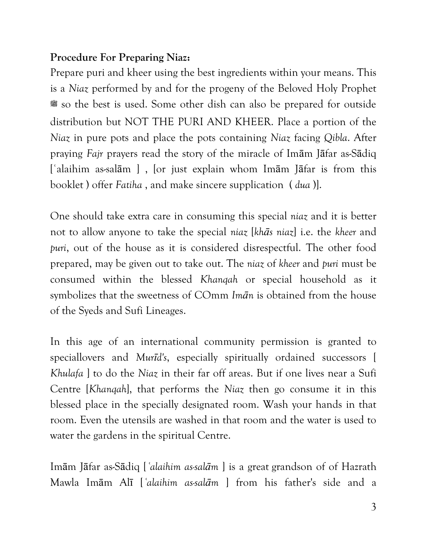#### **Procedure For Preparing Niaz:**

Prepare puri and kheer using the best ingredients within your means. This is a *Niaz* performed by and for the progeny of the Beloved Holy Prophet **صلى الله عليه وسلم** so the best is used. Some other dish can also be prepared for outside distribution but NOT THE PURI AND KHEER. Place a portion of the *Niaz* in pure pots and place the pots containing *Niaz* facing *Qibla*. After praying *Fajr* prayers read the story of the miracle of Imām Jāfar as-Sādiq [ʿalaihim as-salām ] , [or just explain whom Imām Jāfar is from this booklet ) offer *Fatiha* , and make sincere supplication ( *dua* )].

One should take extra care in consuming this special *niaz* and it is better not to allow anyone to take the special *niaz* [*khās niaz*] i.e. the *kheer* and *puri*, out of the house as it is considered disrespectful. The other food prepared, may be given out to take out. The *niaz* of *kheer* and *puri* must be consumed within the blessed *Khanqah* or special household as it symbolizes that the sweetness of COmm *Imān* is obtained from the house of the Syeds and Sufi Lineages.

In this age of an international community permission is granted to speciallovers and *Murīd's*, especially spiritually ordained successors [ *Khulafa* ] to do the *Niaz* in their far off areas. But if one lives near a Sufi Centre [*Khanqah*], that performs the *Niaz* then go consume it in this blessed place in the specially designated room. Wash your hands in that room. Even the utensils are washed in that room and the water is used to water the gardens in the spiritual Centre.

Imām Jāfar as-Sādiq [*ʿalaihim as-salām* ] is a great grandson of of Hazrath Mawla Imām Alī [*ʿalaihim as-salām* ] from his father's side and a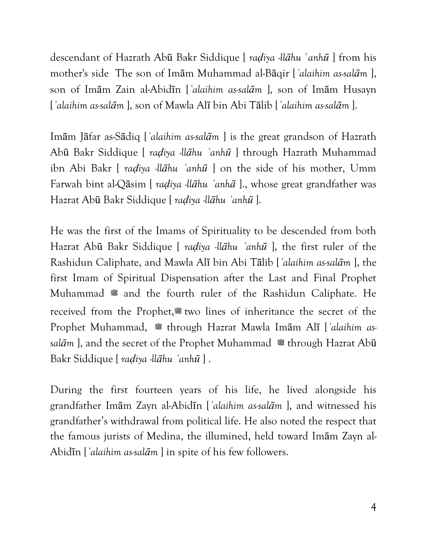descendant of Hazrath Abū Bakr Siddique [ *raḍiya -llāhu* **ʿ***anhū* ] from his mother's side The son of Imām Muhammad al-Bāqir [*ʿalaihim as-salām* ], son of Imām Zain al-Abidīn [*ʿalaihim as-salām* ], son of Imām Husayn [*ʿalaihim as-salām* ], son of Mawla Alī bin Abi Tālib [*ʿalaihim as-salām* ].

Imām Jāfar as-Sādiq [*ʿalaihim as-salām* ] is the great grandson of Hazrath Abū Bakr Siddique [ *raḍiya -llāhu ʿanhū* ] through Hazrath Muhammad ibn Abi Bakr [ *raḍiya -llāhu ʿanhū* ] on the side of his mother, Umm Farwah bint al-Qāsim [ *raḍiya -llāhu ʿanhā* ]., whose great grandfather was Hazrat Abū Bakr Siddique [ *raḍiya -llāhu ʿanhū* ].

He was the first of the Imams of Spirituality to be descended from both Hazrat Abū Bakr Siddique [ *raḍiya -llāhu ʿanhū* ], the first ruler of the Rashidun Caliphate, and Mawla Alī bin Abi Tālib [*ʿalaihim as-salām* ], the first Imam of Spiritual Dispensation after the Last and Final Prophet Muhammad **s** and the fourth ruler of the Rashidun Caliphate. He received from the Prophet, two lines of inheritance the secret of the Prophet Muhammad, # through Hazrat Mawla Imām Alī [*'alaihim assal* $\bar{a}$ <sup>m</sup> ], and the secret of the Prophet Muhammad  $\equiv$  through Hazrat Abū Bakr Siddique [ *raḍiya -llāhu ʿanhū* ] .

During the first fourteen years of his life, he lived alongside his grandfather Imām Zayn al-Abidīn [*ʿalaihim as-salām* ], and witnessed his grandfather"s withdrawal from political life. He also noted the respect that the famous jurists of Medina, the illumined, held toward Imām Zayn al-Abidīn [*ʿalaihim as-salām* ] in spite of his few followers.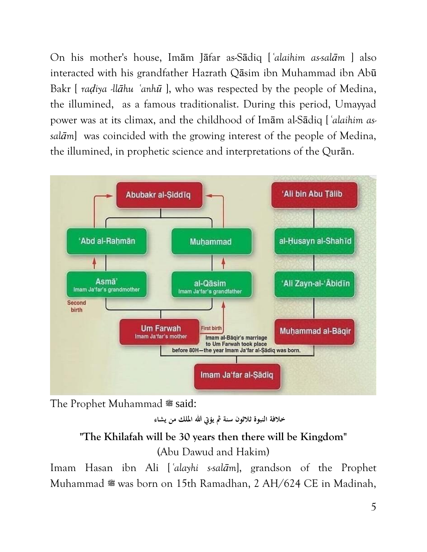On his mother's house, Imām Jāfar as-Sādiq [*ʿalaihim as-salām* ] also interacted with his grandfather Hazrath Qāsim ibn Muhammad ibn Abū Bakr [ *raḍiya -llāhu ʿanhū* ], who was respected by the people of Medina, the illumined, as a famous traditionalist. During this period, Umayyad power was at its climax, and the childhood of Imām al-Sādiq [*ʿalaihim assalām*] was coincided with the growing interest of the people of Medina, the illumined, in prophetic science and interpretations of the Qurān.



The Prophet Muhammad **صلى الله عليه وسلم** said:

**خالفة النبوة ثالثون سنة مث يؤيت هللا امللك من يشاء**

# **"The Khilafah will be 30 years then there will be Kingdom"**

(Abu Dawud and Hakim)

Imam Hasan ibn Ali [*ʿalayhi s-salām*], grandson of the Prophet Muhammad **&** was born on 15th Ramadhan, 2 AH/624 CE in Madinah,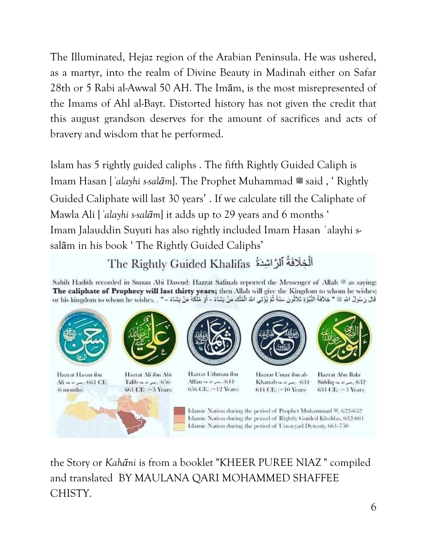The Illuminated, Hejaz region of the Arabian Peninsula. He was ushered, as a martyr, into the realm of Divine Beauty in Madinah either on Safar 28th or 5 Rabi al-Awwal 50 AH. The Imām, is the most misrepresented of the Imams of Ahl al-Bayt. Distorted history has not given the credit that this august grandson deserves for the amount of sacrifices and acts of bravery and wisdom that he performed.

Islam has 5 rightly guided caliphs . The fifth Rightly Guided Caliph is Imam Hasan ['alayhi s-salam]. The Prophet Muhammad # said, 'Rightly Guided Caliphate will last 30 years" . If we calculate till the Caliphate of Mawla Ali [*ʿalayhi s-salām*] it adds up to 29 years and 6 months " Imam Jalauddin Suyuti has also rightly included Imam Hasan ʿalayhi ssalām in his book 'The Rightly Guided Caliphs'

# The Rightly Guided Khalifas أَلْخِلَافَةُ ٱلرَّاشِدَةُ

Sahih Hadith recorded in Sunan Abi Dawud: Hazrat Safinah reported the Messenger of Allah ® as saying: The caliphate of Prophecy will last thirty years; then Allah will give the Kingdom to whom he wishes; قال رَسُولُ الله @ " خِلافَةُ النُّيْزة ثَلاثُونَ سَنَةً ثُمَّ يُؤْتِي الله الْمَلْكَ مَنْ يَشَاءُ - أو مُلْكة مَنْ يَشاءُ - " . or his kingdom to whom he wishes



the Story or *Kahāni* is from a booklet "KHEER PUREE NIAZ " compiled and translated BY MAULANA QARI MOHAMMED SHAFFEE CHISTY.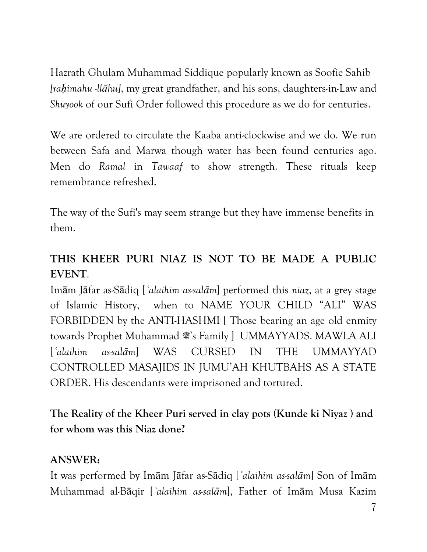Hazrath Ghulam Muhammad Siddique popularly known as Soofie Sahib *[raḥimahu -llāhu]*, my great grandfather, and his sons, daughters-in-Law and *Shuyook* of our Sufi Order followed this procedure as we do for centuries.

We are ordered to circulate the Kaaba anti-clockwise and we do. We run between Safa and Marwa though water has been found centuries ago. Men do *Ramal* in *Tawaaf* to show strength. These rituals keep remembrance refreshed.

The way of the Sufi's may seem strange but they have immense benefits in them.

# **THIS KHEER PURI NIAZ IS NOT TO BE MADE A PUBLIC EVENT**.

Imām Jāfar as-Sādiq [*ʿalaihim as-salām*] performed this *niaz*, at a grey stage of Islamic History, when to NAME YOUR CHILD "ALI" WAS FORBIDDEN by the ANTI-HASHMI [Those bearing an age old enmity towards Prophet Muhammad #'s Family ] UMMAYYADS. MAWLA ALI [*ʿalaihim as-salām*] WAS CURSED IN THE UMMAYYAD CONTROLLED MASAJIDS IN JUMU"AH KHUTBAHS AS A STATE ORDER. His descendants were imprisoned and tortured.

**The Reality of the Kheer Puri served in clay pots (Kunde ki Niyaz ) and for whom was this Niaz done?** 

#### **ANSWER:**

It was performed by Imām Jāfar as-Sādiq [*ʿalaihim as-salām*] Son of Imām Muhammad al-Bāqir [*ʿalaihim as-salām*], Father of Imām Musa Kazim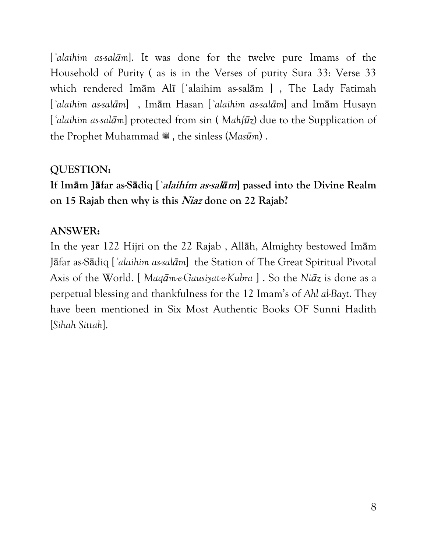[*ʿalaihim as-salām*]. It was done for the twelve pure Imams of the Household of Purity ( as is in the Verses of purity Sura 33: Verse 33 which rendered Imām Alī [ʿalaihim as-salām ] , The Lady Fatimah [*ʿalaihim as-salām*] , Imām Hasan [*ʿalaihim as-salām*] and Imām Husayn [*ʿalaihim as-salām*] protected from sin ( *Mahfūz*) due to the Supplication of the Prophet Muhammad **صلى الله عليه وسلم** , the sinless (*Masūm*) .

#### **QUESTION:**

**If Imām Jāfar as-Sādiq [***ʿ***alaihim as-sal***ā***m] passed into the Divine Realm on 15 Rajab then why is this Niaz done on 22 Rajab?** 

### **ANSWER:**

In the year 122 Hijri on the 22 Rajab , Allāh, Almighty bestowed Imām Jāfar as-Sādiq [*ʿalaihim as-salām*] the Station of The Great Spiritual Pivotal Axis of the World. [ *Maqām-e-Gausiyat-e-Kubra* ] . So the *Niāz* is done as a perpetual blessing and thankfulness for the 12 Imam"s of *Ahl al-Bayt*. They have been mentioned in Six Most Authentic Books OF Sunni Hadith [*Sihah Sittah*].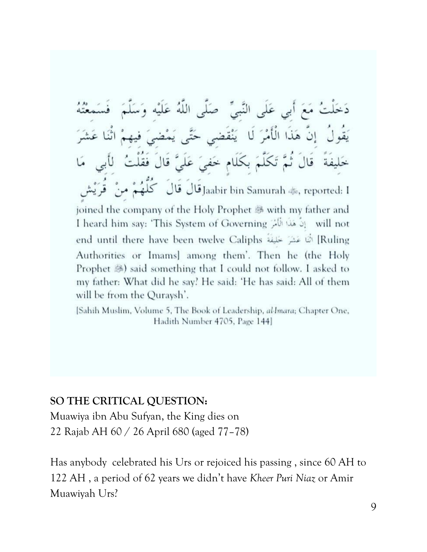عَلَى قال Jaabir bin Samurah ﷺ, reported: I joined the company of the Holy Prophet <sup>38</sup> with my father and I heard him say: 'This System of Governing ﴾ [الله: 2] I heard him say: 'This System of Governing Ruling] الله عَشرَ حَلِيفَة Puling] الله عشرَ حَلِيفَة end until there have been twelve Caliphs Authorities or Imams] among them'. Then he (the Holy Prophet  $\circledast$ ) said something that I could not follow. I asked to my father: What did he say? He said: 'He has said: All of them will be from the Quraysh'.

[Sahih Muslim, Volume 5, The Book of Leadership, al-Imara; Chapter One, Hadith Number 4705, Page 144]

#### **SO THE CRITICAL QUESTION:**

Muawiya ibn Abu Sufyan, the King dies on 22 Rajab AH 60 / 26 April 680 (aged 77–78)

Has anybody celebrated his Urs or rejoiced his passing , since 60 AH to 122 AH , a period of 62 years we didn"t have *Kheer Puri Niaz* or Amir Muawiyah Urs?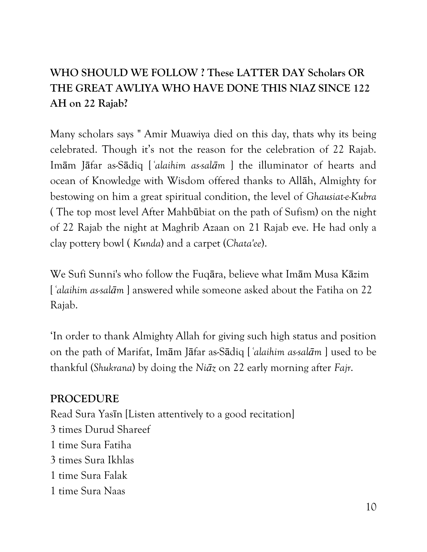# **WHO SHOULD WE FOLLOW ? These LATTER DAY Scholars OR THE GREAT AWLIYA WHO HAVE DONE THIS NIAZ SINCE 122 AH on 22 Rajab?**

Many scholars says " Amir Muawiya died on this day, thats why its being celebrated. Though it's not the reason for the celebration of 22 Rajab. Imām Jāfar as-Sādiq [*ʿalaihim as-salām* ] the illuminator of hearts and ocean of Knowledge with Wisdom offered thanks to Allāh, Almighty for bestowing on him a great spiritual condition, the level of *Ghausiat-e-Kubra* ( The top most level After Mahbūbiat on the path of Sufism) on the night of 22 Rajab the night at Maghrib Azaan on 21 Rajab eve. He had only a clay pottery bowl ( *Kunda*) and a carpet (*Chata'ee*).

We Sufi Sunni's who follow the Fuqāra, believe what Imām Musa Kāzim [*ʿalaihim as-salām* ] answered while someone asked about the Fatiha on 22 Rajab.

"In order to thank Almighty Allah for giving such high status and position on the path of Marifat, Imām Jāfar as-Sādiq [*ʿalaihim as-salām* ] used to be thankful (*Shukrana*) by doing the *Niāz* on 22 early morning after *Fajr*.

#### **PROCEDURE**

Read Sura Yasīn [Listen attentively to a good recitation] 3 times Durud Shareef 1 time Sura Fatiha 3 times Sura Ikhlas 1 time Sura Falak 1 time Sura Naas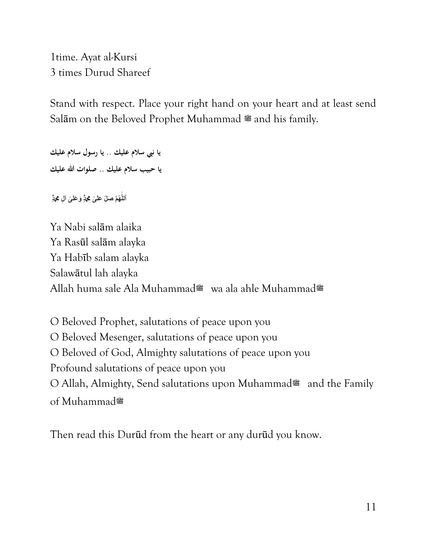1time. Ayat al-Kursi 3 times Durud Shareef

Stand with respect. Place your right hand on your heart and at least send Sal<del>am</del> on the Beloved Prophet Muhammad  $\cong$  and his family.

**يا نيب سالم عليك .. يا رسول سالم عليك يا حبيب سالم عليك .. صلوات هللا عليك**

**ٱللَّـٰهُمَّ صَلِّ عَلَىٰ هُدٍّ وَعَلَىٰ آلِ <b>مُ**دٍّ **َّٰ**

Ya Nabi salām alaika Ya Rasūl salām alayka Ya Habīb salam alayka Salawātul lah alayka Allah huma sale Ala Muhammad**صلى الله عليه وسلم** wa ala ahle Muhammad**صلى الله عليه وسلم**

O Beloved Prophet, salutations of peace upon you O Beloved Mesenger, salutations of peace upon you O Beloved of God, Almighty salutations of peace upon you Profound salutations of peace upon you O Allah, Almighty, Send salutations upon Muhammad<sup>#</sup> and the Family of Muhammad

Then read this Durūd from the heart or any durūd you know.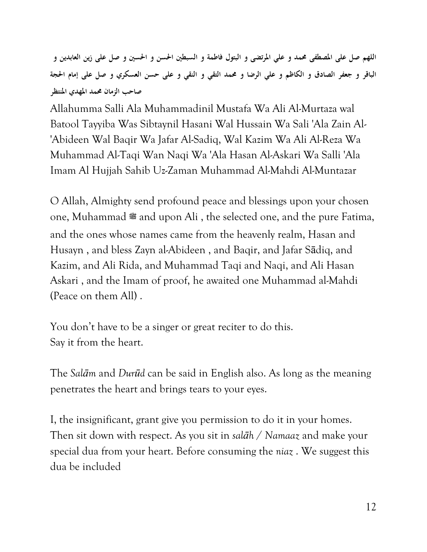**اللهم صل على املصطفى حممد و علي املرتضى و البتول فاطمة و السبطني احلسن و احلسني و صل على زين العابدين و الباقر و جعفر الصادق و الكاظم و علي الرضا و حممد التقي و النقي و على حسن العسكري و صل على إمام احلجة صاحب الزمان حممد املهدي املنتظر**

Allahumma Salli Ala Muhammadinil Mustafa Wa Ali Al-Murtaza wal Batool Tayyiba Was Sibtaynil Hasani Wal Hussain Wa Sali 'Ala Zain Al- 'Abideen Wal Baqir Wa Jafar Al-Sadiq, Wal Kazim Wa Ali Al-Reza Wa Muhammad Al-Taqi Wan Naqi Wa 'Ala Hasan Al-Askari Wa Salli 'Ala Imam Al Hujjah Sahib Uz-Zaman Muhammad Al-Mahdi Al-Muntazar

O Allah, Almighty send profound peace and blessings upon your chosen one, Muhammad  $*$  and upon Ali, the selected one, and the pure Fatima, and the ones whose names came from the heavenly realm, Hasan and Husayn , and bless Zayn al-Abideen , and Baqir, and Jafar Sādiq, and Kazim, and Ali Rida, and Muhammad Taqi and Naqi, and Ali Hasan Askari , and the Imam of proof, he awaited one Muhammad al-Mahdi (Peace on them All) .

You don't have to be a singer or great reciter to do this. Say it from the heart.

The *Salām* and *Durūd* can be said in English also. As long as the meaning penetrates the heart and brings tears to your eyes.

I, the insignificant, grant give you permission to do it in your homes. Then sit down with respect. As you sit in *salāh* / *Namaaz* and make your special dua from your heart. Before consuming the *niaz* . We suggest this dua be included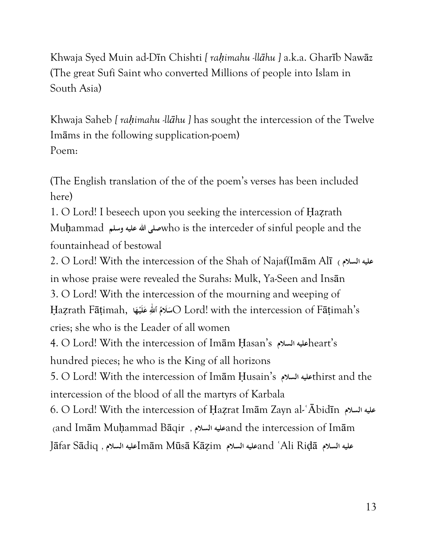Khwaja Syed Muin ad-Dīn Chishti *[ raḥimahu -llāhu ]* a.k.a. Gharīb Nawāz (The great Sufi Saint who converted Millions of people into Islam in South Asia)

Khwaja Saheb *[ rahimahu -llāhu ]* has sought the intercession of the Twelve Imāms in the following supplication-poem) Poem:

(The English translation of the of the poem"s verses has been included here)

1. O Lord! I beseech upon you seeking the intercession of Ḥaẓrath Muḥammad **وسلم عليه هللا صلى**who is the interceder of sinful people and the fountainhead of bestowal

2. O Lord! With the intercession of the Shah of Najaf(Imām Alī **) السالم عليه** in whose praise were revealed the Surahs: Mulk, Ya-Seen and Insān 3. O Lord! With the intercession of the mourning and weeping of Ḥaẓrath Fāṭimah, **ا ْه لَي ع ٱ َّٰللهِ ُ َالم س**O Lord! with the intercession of Fāṭimah"s **َ َ َ** cries; she who is the Leader of all women 4. O Lord! With the intercession of Imām Ḥasan"s **السالم عليه**heart"s hundred pieces; he who is the King of all horizons 5. O Lord! With the intercession of Imām Ḥusain"s **السالم عليه**thirst and the intercession of the blood of all the martyrs of Karbala 6. O Lord! With the intercession of Ḥaẓrat Imām Zayn al-ʿĀbidīn **السالم عليه )**and Imām Muḥammad Bāqir **, السالم عليه**and the intercession of Imām Jāfar Sādiq **, السالم عليه**Imām Mūsā Kāẓim **السالم عليه**and ʿAli Riḍā **السالم عليه**